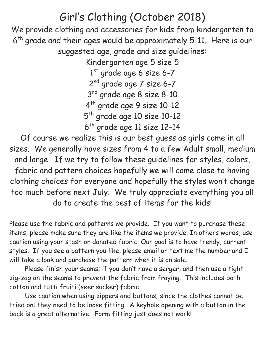## Girl's Clothing (October 2018)

We provide clothing and accessories for kids from kindergarten to 6<sup>th</sup> grade and their ages would be approximately 5-11. Here is our suggested age, grade and size guidelines:

> Kindergarten age 5 size 5 1<sup>st</sup> grade age 6 size 6-7 2<sup>nd</sup> grade age 7 size 6-7 3 rd grade age 8 size 8-10 4 th grade age 9 size 10-12 5<sup>th</sup> grade age 10 size 10-12 6 th grade age 11 size 12-14

Of course we realize this is our best guess as girls come in all sizes. We generally have sizes from 4 to a few Adult small, medium and large. If we try to follow these guidelines for styles, colors, fabric and pattern choices hopefully we will come close to having clothing choices for everyone and hopefully the styles won't change too much before next July. We truly appreciate everything you all do to create the best of items for the kids!

Please use the fabric and patterns we provide. If you want to purchase these items, please make sure they are like the items we provide. In others words, use caution using your stash or donated fabric. Our goal is to have trendy, current styles. If you see a pattern you like, please email or text me the number and I will take a look and purchase the pattern when it is on sale.

Please finish your seams; if you don't have a serger, and then use a tight zig-zag on the seams to prevent the fabric from fraying. This includes both cotton and tutti fruiti (seer sucker) fabric.

Use caution when using zippers and buttons; since the clothes cannot be tried on; they need to be loose fitting. A keyhole opening with a button in the back is a great alternative. Form fitting just does not work!